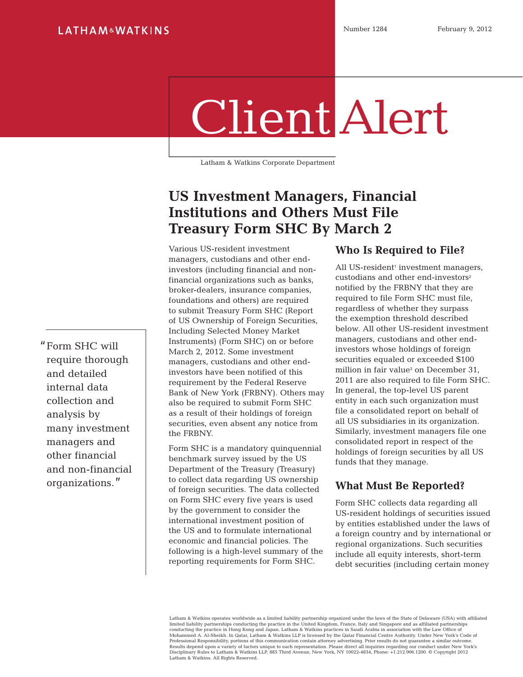# Client Alert

Latham & Watkins Corporate Department

## **US Investment Managers, Financial Institutions and Others Must File Treasury Form SHC By March 2**

Various US-resident investment managers, custodians and other endinvestors (including financial and nonfinancial organizations such as banks, broker-dealers, insurance companies, foundations and others) are required to submit Treasury Form SHC (Report of US Ownership of Foreign Securities, Including Selected Money Market Instruments) (Form SHC) on or before March 2, 2012. Some investment managers, custodians and other endinvestors have been notified of this requirement by the Federal Reserve Bank of New York (FRBNY). Others may also be required to submit Form SHC as a result of their holdings of foreign securities, even absent any notice from the FRBNY.

Form SHC is a mandatory quinquennial benchmark survey issued by the US Department of the Treasury (Treasury) to collect data regarding US ownership of foreign securities. The data collected on Form SHC every five years is used by the government to consider the international investment position of the US and to formulate international economic and financial policies. The following is a high-level summary of the reporting requirements for Form SHC.

#### **Who Is Required to File?**

All US-resident<sup>1</sup> investment managers, custodians and other end-investors<sup>2</sup> notified by the FRBNY that they are required to file Form SHC must file, regardless of whether they surpass the exemption threshold described below. All other US-resident investment managers, custodians and other endinvestors whose holdings of foreign securities equaled or exceeded \$100 million in fair value<sup>3</sup> on December 31, 2011 are also required to file Form SHC. In general, the top-level US parent entity in each such organization must file a consolidated report on behalf of all US subsidiaries in its organization. Similarly, investment managers file one consolidated report in respect of the holdings of foreign securities by all US funds that they manage.

#### **What Must Be Reported?**

Form SHC collects data regarding all US-resident holdings of securities issued by entities established under the laws of a foreign country and by international or regional organizations. Such securities include all equity interests, short-term debt securities (including certain money

Latham & Watkins operates worldwide as a limited liability partnership organized under the laws of the State of Delaware (USA) with affiliated limited liability partnerships conducting the practice in the United Kingdom, France, Italy and Singapore and as affiliated partnerships<br>conducting the practice in Hong Kong and Japan. Latham & Watkins practices in Saudi A Results depend upon a variety of factors unique to each representation. Please direct all inquiries regarding our conduct under New York's<br>Disciplinary Rules to Latham & Watkins LLP, 885 Third Avenue, New York, NY 10022-48 Latham & Watkins. All Rights Reserved.

"Form SHC will require thorough and detailed internal data collection and analysis by many investment managers and other financial and non-financial organizations."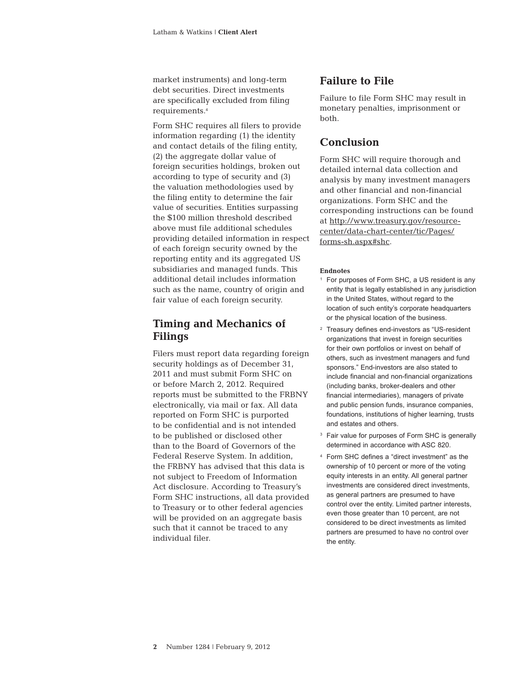market instruments) and long-term debt securities. Direct investments are specifically excluded from filing requirements.<sup>4</sup>

Form SHC requires all filers to provide information regarding (1) the identity and contact details of the filing entity, (2) the aggregate dollar value of foreign securities holdings, broken out according to type of security and (3) the valuation methodologies used by the filing entity to determine the fair value of securities. Entities surpassing the \$100 million threshold described above must file additional schedules providing detailed information in respect of each foreign security owned by the reporting entity and its aggregated US subsidiaries and managed funds. This additional detail includes information such as the name, country of origin and fair value of each foreign security.

#### **Timing and Mechanics of Filings**

Filers must report data regarding foreign security holdings as of December 31, 2011 and must submit Form SHC on or before March 2, 2012. Required reports must be submitted to the FRBNY electronically, via mail or fax. All data reported on Form SHC is purported to be confidential and is not intended to be published or disclosed other than to the Board of Governors of the Federal Reserve System. In addition, the FRBNY has advised that this data is not subject to Freedom of Information Act disclosure. According to Treasury's Form SHC instructions, all data provided to Treasury or to other federal agencies will be provided on an aggregate basis such that it cannot be traced to any individual filer.

#### **Failure to File**

Failure to file Form SHC may result in monetary penalties, imprisonment or both.

#### **Conclusion**

Form SHC will require thorough and detailed internal data collection and analysis by many investment managers and other financial and non-financial organizations. Form SHC and the corresponding instructions can be found at [http://www.treasury.gov/resource](http://www.treasury.gov/resource-center/data-chart-center/tic/Pages/forms-sh.aspx#shc)[center/data-chart-center/tic/Pages/](http://www.treasury.gov/resource-center/data-chart-center/tic/Pages/forms-sh.aspx#shc) [forms-sh.aspx#shc](http://www.treasury.gov/resource-center/data-chart-center/tic/Pages/forms-sh.aspx#shc).

#### **Endnotes**

- <sup>1</sup> For purposes of Form SHC, a US resident is any entity that is legally established in any jurisdiction in the United States, without regard to the location of such entity's corporate headquarters or the physical location of the business.
- <sup>2</sup> Treasury defines end-investors as "US-resident organizations that invest in foreign securities for their own portfolios or invest on behalf of others, such as investment managers and fund sponsors." End-investors are also stated to include financial and non-financial organizations (including banks, broker-dealers and other financial intermediaries), managers of private and public pension funds, insurance companies, foundations, institutions of higher learning, trusts and estates and others.
- <sup>3</sup> Fair value for purposes of Form SHC is generally determined in accordance with ASC 820.
- <sup>4</sup> Form SHC defines a "direct investment" as the ownership of 10 percent or more of the voting equity interests in an entity. All general partner investments are considered direct investments, as general partners are presumed to have control over the entity. Limited partner interests, even those greater than 10 percent, are not considered to be direct investments as limited partners are presumed to have no control over the entity.